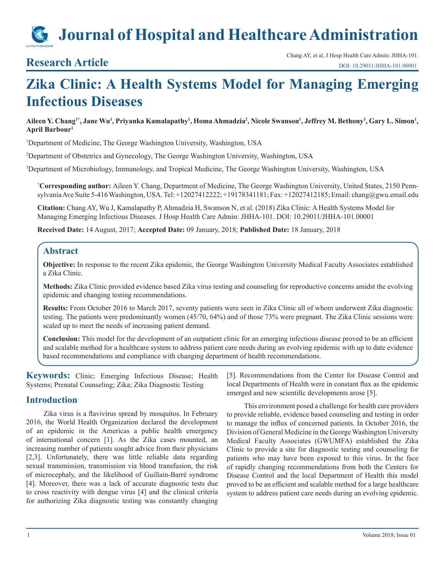# **Journal of Hospital and Healthcare Administration**

**Research Article** Chang AY, et al. J Hosp Health Care Admin: JHHA-101.<br>Chang AY, et al. J Hosp Health Care Admin: JHHA-101. [DOI: 10.29011/JHHA-101.00001](http://doi.org/10.29011/JHHA-101. 00001)

# **Zika Clinic: A Health Systems Model for Managing Emerging Infectious Diseases**

### Aileen Y. Chang<sup>1</sup>\*, Jane Wu<sup>1</sup>, Priyanka Kamalapathy<sup>1</sup>, Homa Ahmadzia<sup>2</sup>, Nicole Swanson<sup>1</sup>, Jeffrey M. Bethony<sup>3</sup>, Gary L. Simon<sup>1</sup>, **April Barbour1**

<sup>1</sup>Department of Medicine, The George Washington University, Washington, USA

2 Department of Obstetrics and Gynecology, The George Washington University, Washington, USA

3 Department of Microbiology, Immunology, and Tropical Medicine, The George Washington University, Washington, USA

**\* Corresponding author:** Aileen Y. Chang, Department of Medicine, The George Washington University, United States, 2150 Pennsylvania Ave Suite 5-416 Washington, USA. Tel: +12027412222; +19178341181; Fax: +12027412185; Email: chang@gwu.email.edu

**Citation:** Chang AY, Wu J, Kamalapathy P, Ahmadzia H, Swanson N, et al. (2018) Zika Clinic: A Health Systems Model for Managing Emerging Infectious Diseases. J Hosp Health Care Admin: JHHA-101. DOI: 10.29011/JHHA-101.00001

**Received Date:** 14 August, 2017; **Accepted Date:** 09 January, 2018; **Published Date:** 18 January, 2018

# **Abstract**

**Objective:** In response to the recent Zika epidemic, the George Washington University Medical Faculty Associates established a Zika Clinic.

**Methods:** Zika Clinic provided evidence based Zika virus testing and counseling for reproductive concerns amidst the evolving epidemic and changing testing recommendations.

**Results:** From October 2016 to March 2017, seventy patients were seen in Zika Clinic all of whom underwent Zika diagnostic testing. The patients were predominantly women (45/70, 64%) and of those 73% were pregnant. The Zika Clinic sessions were scaled up to meet the needs of increasing patient demand.

**Conclusion:** This model for the development of an outpatient clinic for an emerging infectious disease proved to be an efficient and scalable method for a healthcare system to address patient care needs during an evolving epidemic with up to date evidence based recommendations and compliance with changing department of health recommendations.

**Keywords:** Clinic; Emerging Infectious Disease; Health Systems; Prenatal Counseling; Zika; Zika Diagnostic Testing

# **Introduction**

Zika virus is a flavivirus spread by mosquitos. In February 2016, the World Health Organization declared the development of an epidemic in the Americas a public health emergency of international concern [1]. As the Zika cases mounted, an increasing number of patients sought advice from their physicians [2,3]. Unfortunately, there was little reliable data regarding sexual transmission, transmission via blood transfusion, the risk of microcephaly, and the likelihood of Guillain-Barré syndrome [4]. Moreover, there was a lack of accurate diagnostic tests due to cross reactivity with dengue virus [4] and the clinical criteria for authorizing Zika diagnostic testing was constantly changing

[5]. Recommendations from the Center for Disease Control and local Departments of Health were in constant flux as the epidemic emerged and new scientific developments arose [5].

This environment posed a challenge for health care providers to provide reliable, evidence based counseling and testing in order to manage the influx of concerned patients. In October 2016, the Division of General Medicine in the George Washington University Medical Faculty Associates (GWUMFA) established the Zika Clinic to provide a site for diagnostic testing and counseling for patients who may have been exposed to this virus. In the face of rapidly changing recommendations from both the Centers for Disease Control and the local Department of Health this model proved to be an efficient and scalable method for a large healthcare system to address patient care needs during an evolving epidemic.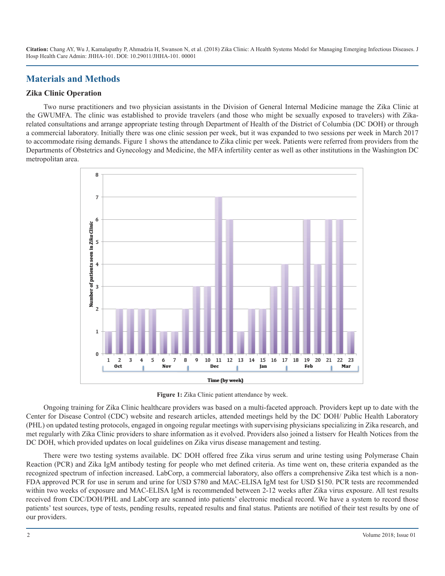**Citation:** Chang AY, Wu J, Kamalapathy P, Ahmadzia H, Swanson N, et al. (2018) Zika Clinic: A Health Systems Model for Managing Emerging Infectious Diseases. J Hosp Health Care Admin: JHHA-101. DOI: 10.29011/JHHA-101. 00001

# **Materials and Methods**

## **Zika Clinic Operation**

Two nurse practitioners and two physician assistants in the Division of General Internal Medicine manage the Zika Clinic at the GWUMFA. The clinic was established to provide travelers (and those who might be sexually exposed to travelers) with Zikarelated consultations and arrange appropriate testing through Department of Health of the District of Columbia (DC DOH) or through a commercial laboratory. Initially there was one clinic session per week, but it was expanded to two sessions per week in March 2017 to accommodate rising demands. Figure 1 shows the attendance to Zika clinic per week. Patients were referred from providers from the Departments of Obstetrics and Gynecology and Medicine, the MFA infertility center as well as other institutions in the Washington DC metropolitan area.



Figure 1: Zika Clinic patient attendance by week.

Ongoing training for Zika Clinic healthcare providers was based on a multi-faceted approach. Providers kept up to date with the Center for Disease Control (CDC) website and research articles, attended meetings held by the DC DOH/ Public Health Laboratory (PHL) on updated testing protocols, engaged in ongoing regular meetings with supervising physicians specializing in Zika research, and met regularly with Zika Clinic providers to share information as it evolved. Providers also joined a listserv for Health Notices from the DC DOH, which provided updates on local guidelines on Zika virus disease management and testing.

There were two testing systems available. DC DOH offered free Zika virus serum and urine testing using Polymerase Chain Reaction (PCR) and Zika IgM antibody testing for people who met defined criteria. As time went on, these criteria expanded as the recognized spectrum of infection increased. LabCorp, a commercial laboratory, also offers a comprehensive Zika test which is a non-FDA approved PCR for use in serum and urine for USD \$780 and MAC-ELISA IgM test for USD \$150. PCR tests are recommended within two weeks of exposure and MAC-ELISA IgM is recommended between 2-12 weeks after Zika virus exposure. All test results received from CDC/DOH/PHL and LabCorp are scanned into patients' electronic medical record. We have a system to record those patients' test sources, type of tests, pending results, repeated results and final status. Patients are notified of their test results by one of our providers.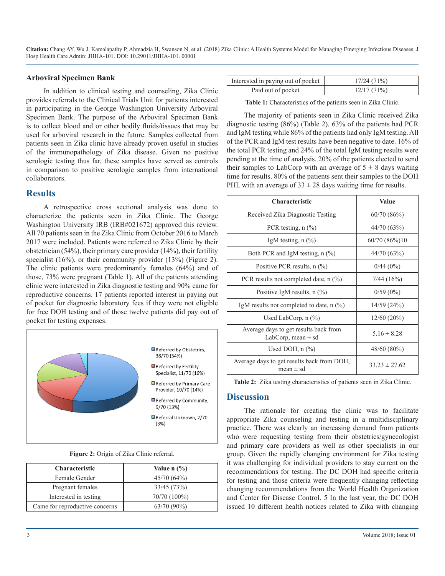**Citation:** Chang AY, Wu J, Kamalapathy P, Ahmadzia H, Swanson N, et al. (2018) Zika Clinic: A Health Systems Model for Managing Emerging Infectious Diseases. J Hosp Health Care Admin: JHHA-101. DOI: 10.29011/JHHA-101. 00001

#### **Arboviral Specimen Bank**

In addition to clinical testing and counseling, Zika Clinic provides referrals to the Clinical Trials Unit for patients interested in participating in the George Washington University Arboviral Specimen Bank. The purpose of the Arboviral Specimen Bank is to collect blood and or other bodily fluids/tissues that may be used for arboviral research in the future. Samples collected from patients seen in Zika clinic have already proven useful in studies of the immunopathology of Zika disease. Given no positive serologic testing thus far, these samples have served as controls in comparison to positive serologic samples from international collaborators.

### **Results**

A retrospective cross sectional analysis was done to characterize the patients seen in Zika Clinic. The George Washington University IRB (IRB#021672) approved this review. All 70 patients seen in the Zika Clinic from October 2016 to March 2017 were included. Patients were referred to Zika Clinic by their obstetrician (54%), their primary care provider (14%), their fertility specialist (16%), or their community provider (13%) (Figure 2). The clinic patients were predominantly females (64%) and of those, 73% were pregnant (Table 1). All of the patients attending clinic were interested in Zika diagnostic testing and 90% came for reproductive concerns. 17 patients reported interest in paying out of pocket for diagnostic laboratory fees if they were not eligible for free DOH testing and of those twelve patients did pay out of pocket for testing expenses.



**Figure 2:** Origin of Zika Clinic referral.

| <b>Characteristic</b>          | Value $n$ $\left(\frac{9}{6}\right)$ |
|--------------------------------|--------------------------------------|
| Female Gender                  | 45/70(64%)                           |
| Pregnant females               | 33/45(73%)                           |
| Interested in testing          | 70/70 (100%)                         |
| Came for reproductive concerns | $63/70(90\%)$                        |

| Interested in paying out of pocket | 17/24(71%) |
|------------------------------------|------------|
| Paid out of pocket                 | 12/17(71%) |

**Table 1:** Characteristics of the patients seen in Zika Clinic.

The majority of patients seen in Zika Clinic received Zika diagnostic testing (86%) (Table 2). 63% of the patients had PCR and IgM testing while 86% of the patients had only IgM testing. All of the PCR and IgM test results have been negative to date. 16% of the total PCR testing and 24% of the total IgM testing results were pending at the time of analysis. 20% of the patients elected to send their samples to LabCorp with an average of  $5 \pm 8$  days waiting time for results. 80% of the patients sent their samples to the DOH PHL with an average of  $33 \pm 28$  days waiting time for results.

| <b>Characteristic</b>                                           | Value             |
|-----------------------------------------------------------------|-------------------|
| Received Zika Diagnostic Testing                                | 60/70(86%)        |
| PCR testing, $n$ $(\%)$                                         | 44/70 (63%)       |
| IgM testing, $n$ $(\%)$                                         | 60/70 (86%)10     |
| Both PCR and IgM testing, $n$ (%)                               | 44/70 (63%)       |
| Positive PCR results, $n$ $(\%)$                                | 0/44(0%)          |
| PCR results not completed date, $n$ (%)                         | 7/44(16%)         |
| Positive IgM results, $n$ (%)                                   | $0/59(0\%)$       |
| IgM results not completed to date, $n$ (%)                      | 14/59(24%)        |
| Used LabCorp, $n$ $(\%)$                                        | $12/60(20\%)$     |
| Average days to get results back from<br>LabCorp, mean $\pm$ sd | $5.16 \pm 8.28$   |
| Used DOH, n (%)                                                 | 48/60 (80%)       |
| Average days to get results back from DOH,<br>mean $\pm$ sd     | $33.23 \pm 27.62$ |

**Table 2:** Zika testing characteristics of patients seen in Zika Clinic.

#### **Discussion**

The rationale for creating the clinic was to facilitate appropriate Zika counseling and testing in a multidisciplinary practice. There was clearly an increasing demand from patients who were requesting testing from their obstetrics/gynecologist and primary care providers as well as other specialists in our group. Given the rapidly changing environment for Zika testing it was challenging for individual providers to stay current on the recommendations for testing. The DC DOH had specific criteria for testing and those criteria were frequently changing reflecting changing recommendations from the World Health Organization and Center for Disease Control. 5 In the last year, the DC DOH issued 10 different health notices related to Zika with changing